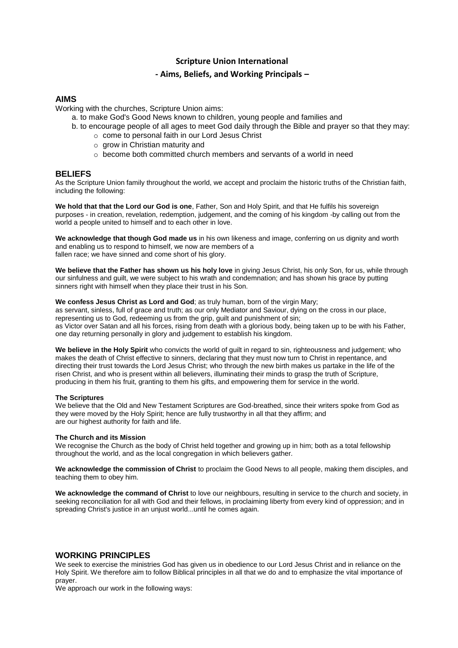# **Scripture Union International**

# **- Aims, Beliefs, and Working Principals –**

# **AIMS**

Working with the churches, Scripture Union aims:

- a. to make God's Good News known to children, young people and families and
- b. to encourage people of all ages to meet God daily through the Bible and prayer so that they may:
	- o come to personal faith in our Lord Jesus Christ
	- $\circ$  grow in Christian maturity and
	- $\circ$  become both committed church members and servants of a world in need

# **BELIEFS**

As the Scripture Union family throughout the world, we accept and proclaim the historic truths of the Christian faith, including the following:

**We hold that that the Lord our God is one**, Father, Son and Holy Spirit, and that He fulfils his sovereign purposes - in creation, revelation, redemption, judgement, and the coming of his kingdom -by calling out from the world a people united to himself and to each other in love.

**We acknowledge that though God made us** in his own likeness and image, conferring on us dignity and worth and enabling us to respond to himself, we now are members of a fallen race; we have sinned and come short of his glory.

**We believe that the Father has shown us his holy love** in giving Jesus Christ, his only Son, for us, while through our sinfulness and guilt, we were subject to his wrath and condemnation; and has shown his grace by putting sinners right with himself when they place their trust in his Son.

**We confess Jesus Christ as Lord and God**; as truly human, born of the virgin Mary; as servant, sinless, full of grace and truth; as our only Mediator and Saviour, dying on the cross in our place, representing us to God, redeeming us from the grip, guilt and punishment of sin; as Victor over Satan and all his forces, rising from death with a glorious body, being taken up to be with his Father, one day returning personally in glory and judgement to establish his kingdom.

**We believe in the Holy Spirit** who convicts the world of guilt in regard to sin, righteousness and judgement; who makes the death of Christ effective to sinners, declaring that they must now turn to Christ in repentance, and directing their trust towards the Lord Jesus Christ; who through the new birth makes us partake in the life of the risen Christ, and who is present within all believers, illuminating their minds to grasp the truth of Scripture, producing in them his fruit, granting to them his gifts, and empowering them for service in the world.

#### **The Scriptures**

We believe that the Old and New Testament Scriptures are God-breathed, since their writers spoke from God as they were moved by the Holy Spirit; hence are fully trustworthy in all that they affirm; and are our highest authority for faith and life.

#### **The Church and its Mission**

We recognise the Church as the body of Christ held together and growing up in him; both as a total fellowship throughout the world, and as the local congregation in which believers gather.

**We acknowledge the commission of Christ** to proclaim the Good News to all people, making them disciples, and teaching them to obey him.

**We acknowledge the command of Christ** to love our neighbours, resulting in service to the church and society, in seeking reconciliation for all with God and their fellows, in proclaiming liberty from every kind of oppression; and in spreading Christ's justice in an unjust world...until he comes again.

# **WORKING PRINCIPLES**

We seek to exercise the ministries God has given us in obedience to our Lord Jesus Christ and in reliance on the Holy Spirit. We therefore aim to follow Biblical principles in all that we do and to emphasize the vital importance of prayer.

We approach our work in the following ways: